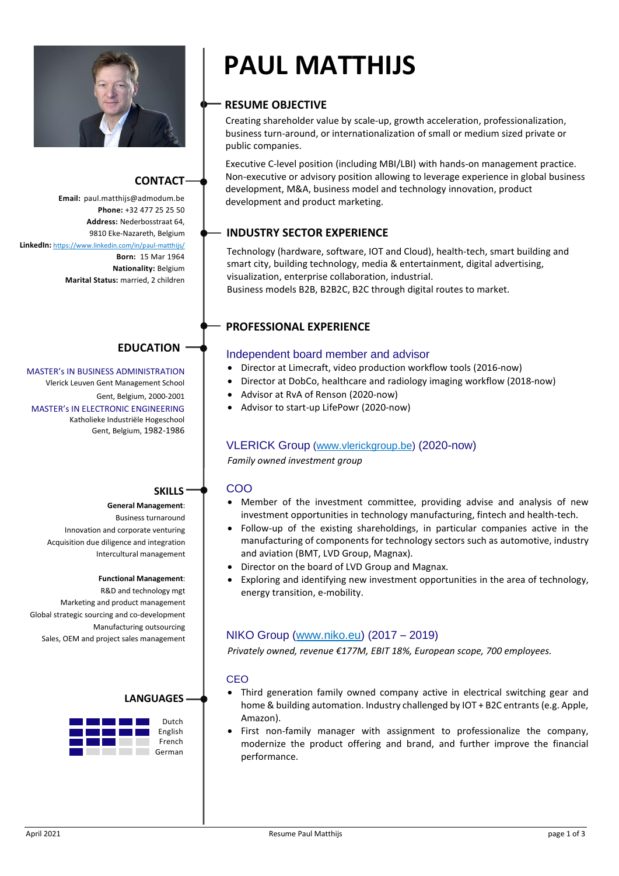

# **CONTACT**

**Phone:** +32 477 25 25 50 **Address:** Nederbosstraat 64, 9810 Eke-Nazareth, Belgium **LinkedIn:** <https://www.linkedin.com/in/paul-matthijs/> **Born:** 15 Mar 1964 **Nationality:** Belgium **Marital Status:** married, 2 children

# **EDUCATION**

MASTER's IN BUSINESS ADMINISTRATION Vlerick Leuven Gent Management School Gent, Belgium, 2000-2001 MASTER's IN ELECTRONIC ENGINEERING Katholieke Industriële Hogeschool Gent, Belgium, 1982-1986

# **SKILLS**

# **General Management**:

Business turnaround Innovation and corporate venturing Acquisition due diligence and integration Intercultural management

#### **Functional Management**:

R&D and technology mgt Marketing and product management Global strategic sourcing and co-development Manufacturing outsourcing Sales, OEM and project sales management

# **LANGUAGES** Dutch English French German

# **PAUL MATTHIJS**

# **RESUME OBJECTIVE**

Creating shareholder value by scale-up, growth acceleration, professionalization, business turn-around, or internationalization of small or medium sized private or public companies.

Executive C-level position (including MBI/LBI) with hands-on management practice. Non-executive or advisory position allowing to leverage experience in global business development, M&A, business model and technology innovation, product Email: paul.matthijs@admodum.be development and product marketing.

# **INDUSTRY SECTOR EXPERIENCE**

Technology (hardware, software, IOT and Cloud), health-tech, smart building and smart city, building technology, media & entertainment, digital advertising, visualization, enterprise collaboration, industrial. Business models B2B, B2B2C, B2C through digital routes to market.

# **PROFESSIONAL EXPERIENCE**

#### Independent board member and advisor

- Director at Limecraft, video production workflow tools (2016-now)
- Director at DobCo, healthcare and radiology imaging workflow (2018-now)
- Advisor at RvA of Renson (2020-now)
- Advisor to start-up LifePowr (2020-now)

# VLERICK Group [\(www.vlerickgroup.be\)](http://www.vlerickgroup.be/) (2020-now)

*Family owned investment group*

# COO

- Member of the investment committee, providing advise and analysis of new investment opportunities in technology manufacturing, fintech and health-tech.
- Follow-up of the existing shareholdings, in particular companies active in the manufacturing of components for technology sectors such as automotive, industry and aviation (BMT, LVD Group, Magnax).
- Director on the board of LVD Group and Magnax.
- Exploring and identifying new investment opportunities in the area of technology, energy transition, e-mobility.

# NIKO Group [\(www.niko.eu\)](http://www.niko.eu/) (2017 – 2019)

*Privately owned, revenue €177M, EBIT 18%, European scope, 700 employees.*

#### **CEO**

- Third generation family owned company active in electrical switching gear and home & building automation. Industry challenged by IOT + B2C entrants (e.g. Apple, Amazon).
- First non-family manager with assignment to professionalize the company, modernize the product offering and brand, and further improve the financial performance.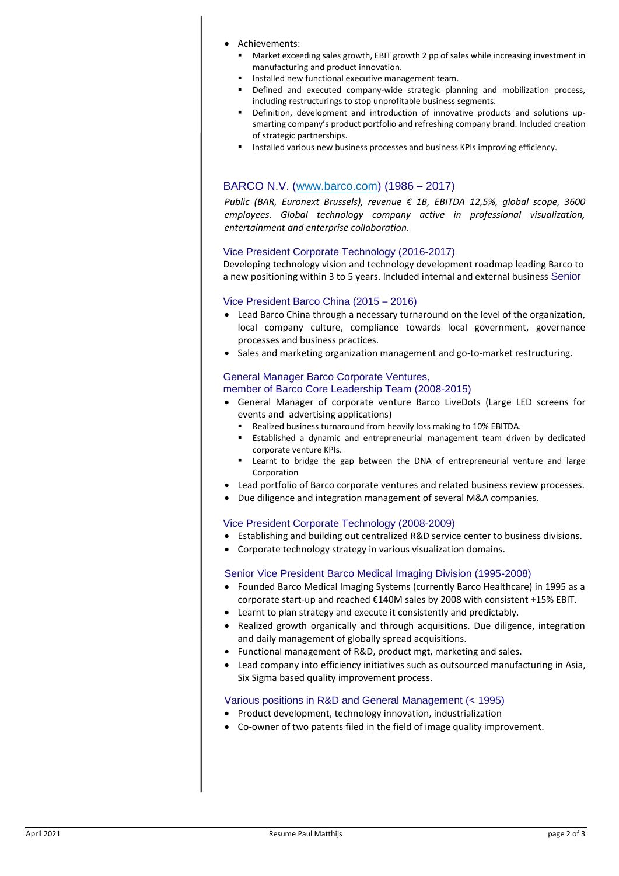#### • Achievements:

- Market exceeding sales growth, EBIT growth 2 pp of sales while increasing investment in manufacturing and product innovation.
- Installed new functional executive management team.
- Defined and executed company-wide strategic planning and mobilization process, including restructurings to stop unprofitable business segments.
- Definition, development and introduction of innovative products and solutions upsmarting company's product portfolio and refreshing company brand. Included creation of strategic partnerships.
- **EXECTED HIMSHS INTERFIELD VARIGHT IN STARK IN STARK IN STARK IN STARK ISLEY IN STARK IN STARK ISLEY ISLEM** Installed various new business processes and business KPIs improving efficiency.

# BARCO N.V. [\(www.barco.com\)](http://www.barco.com/) (1986 – 2017)

*Public (BAR, Euronext Brussels), revenue € 1B, EBITDA 12,5%, global scope, 3600 employees. Global technology company active in professional visualization, entertainment and enterprise collaboration.*

#### Vice President Corporate Technology (2016-2017)

Developing technology vision and technology development roadmap leading Barco to a new positioning within 3 to 5 years. Included internal and external business Senior

#### Vice President Barco China (2015 – 2016)

- Lead Barco China through a necessary turnaround on the level of the organization, local company culture, compliance towards local government, governance processes and business practices.
- Sales and marketing organization management and go-to-market restructuring.

# General Manager Barco Corporate Ventures,

#### member of Barco Core Leadership Team (2008-2015)

- General Manager of corporate venture Barco LiveDots (Large LED screens for events and advertising applications)
	- Realized business turnaround from heavily loss making to 10% EBITDA.
	- Established a dynamic and entrepreneurial management team driven by dedicated corporate venture KPIs.
	- Learnt to bridge the gap between the DNA of entrepreneurial venture and large Corporation
- Lead portfolio of Barco corporate ventures and related business review processes.
- Due diligence and integration management of several M&A companies.

#### Vice President Corporate Technology (2008-2009)

- Establishing and building out centralized R&D service center to business divisions.
- Corporate technology strategy in various visualization domains.

#### Senior Vice President Barco Medical Imaging Division (1995-2008)

- Founded Barco Medical Imaging Systems (currently Barco Healthcare) in 1995 as a corporate start-up and reached €140M sales by 2008 with consistent +15% EBIT.
- Learnt to plan strategy and execute it consistently and predictably.
- Realized growth organically and through acquisitions. Due diligence, integration and daily management of globally spread acquisitions.
- Functional management of R&D, product mgt, marketing and sales.
- Lead company into efficiency initiatives such as outsourced manufacturing in Asia, Six Sigma based quality improvement process.

#### Various positions in R&D and General Management (< 1995)

- Product development, technology innovation, industrialization
- Co-owner of two patents filed in the field of image quality improvement.